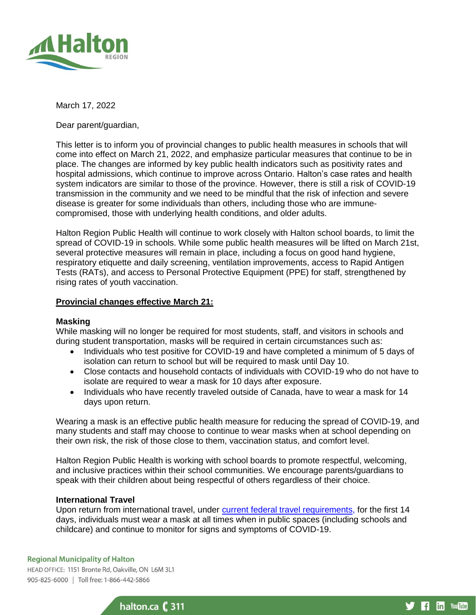

## March 17, 2022

Dear parent/guardian,

This letter is to inform you of provincial changes to public health measures in schools that will come into effect on March 21, 2022, and emphasize particular measures that continue to be in place. The changes are informed by key public health indicators such as positivity rates and hospital admissions, which continue to improve across Ontario. Halton's case rates and health system indicators are similar to those of the province. However, there is still a risk of COVID-19 transmission in the community and we need to be mindful that the risk of infection and severe disease is greater for some individuals than others, including those who are immunecompromised, those with underlying health conditions, and older adults.

Halton Region Public Health will continue to work closely with Halton school boards, to limit the spread of COVID-19 in schools. While some public health measures will be lifted on March 21st, several protective measures will remain in place, including a focus on good hand hygiene, respiratory etiquette and daily screening, ventilation improvements, access to Rapid Antigen Tests (RATs), and access to Personal Protective Equipment (PPE) for staff, strengthened by rising rates of youth vaccination.

## **Provincial changes effective March 21:**

## **Masking**

While masking will no longer be required for most students, staff, and visitors in schools and during student transportation, masks will be required in certain circumstances such as:

- Individuals who test positive for COVID-19 and have completed a minimum of 5 days of isolation can return to school but will be required to mask until Day 10.
- Close contacts and household contacts of individuals with COVID-19 who do not have to isolate are required to wear a mask for 10 days after exposure.
- Individuals who have recently traveled outside of Canada, have to wear a mask for 14 days upon return.

Wearing a mask is an effective public health measure for reducing the spread of COVID-19, and many students and staff may choose to continue to wear masks when at school depending on their own risk, the risk of those close to them, vaccination status, and comfort level.

Halton Region Public Health is working with school boards to promote respectful, welcoming, and inclusive practices within their school communities. We encourage parents/guardians to speak with their children about being respectful of others regardless of their choice.

# **International Travel**

Upon return from international travel, under [current federal travel requirements,](https://protect-ca.mimecast.com/s/Gn7ICxnMA3uvLl7SweAhc) for the first 14 days, individuals must wear a mask at all times when in public spaces (including schools and childcare) and continue to monitor for signs and symptoms of COVID-19.

### **Regional Municipality of Halton**

HEAD OFFICE: 1151 Bronte Rd, Oakville, ON L6M 3L1 905-825-6000 | Toll free: 1-866-442-5866



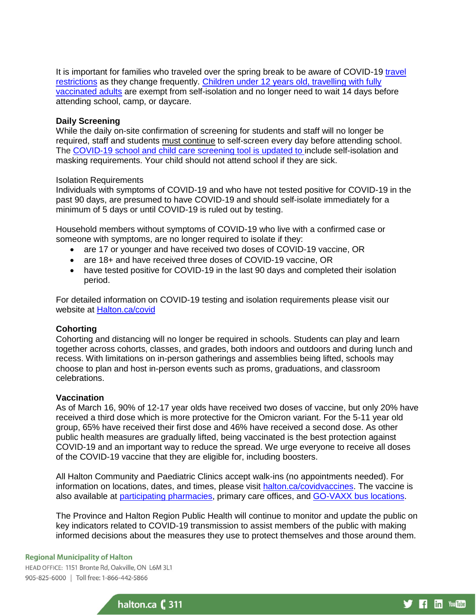It is important for families who traveled over the spring break to be aware of COVID-19 travel [restrictions](https://travel.gc.ca/travel-covid) as they change frequently. [Children under 12 years old, travelling with fully](https://www.canada.ca/en/public-health/services/publications/diseases-conditions/fully-vaccinated-travellers-without-covid-19-symptoms-returning-canada.html)  [vaccinated adults](https://www.canada.ca/en/public-health/services/publications/diseases-conditions/fully-vaccinated-travellers-without-covid-19-symptoms-returning-canada.html) are exempt from self-isolation and no longer need to wait 14 days before attending school, camp, or daycare.

### **Daily Screening**

While the daily on-site confirmation of screening for students and staff will no longer be required, staff and students must continue to self-screen every day before attending school. The [COVID-19 school and child care screening tool](https://protect-ca.mimecast.com/s/wT8MCwVLz3FxvjqS9zndV/) is updated to include self-isolation and masking requirements. Your child should not attend school if they are sick.

### Isolation Requirements

Individuals with symptoms of COVID-19 and who have not tested positive for COVID-19 in the past 90 days, are presumed to have COVID-19 and should self-isolate immediately for a minimum of 5 days or until COVID-19 is ruled out by testing.

Household members without symptoms of COVID-19 who live with a confirmed case or someone with symptoms, are no longer required to isolate if they:

- are 17 or younger and have received two doses of COVID-19 vaccine, OR
- are 18+ and have received three doses of COVID-19 vaccine, OR
- have tested positive for COVID-19 in the last 90 days and completed their isolation period.

For detailed information on COVID-19 testing and isolation requirements please visit our website at [Halton.ca/covid](https://www.halton.ca/For-Residents/Immunizations-Preventable-Disease/Diseases-Infections/New-Coronavirus)

## **Cohorting**

Cohorting and distancing will no longer be required in schools. Students can play and learn together across cohorts, classes, and grades, both indoors and outdoors and during lunch and recess. With limitations on in-person gatherings and assemblies being lifted, schools may choose to plan and host in-person events such as proms, graduations, and classroom celebrations.

### **Vaccination**

As of March 16, 90% of 12-17 year olds have received two doses of vaccine, but only 20% have received a third dose which is more protective for the Omicron variant. For the 5-11 year old group, 65% have received their first dose and 46% have received a second dose. As other public health measures are gradually lifted, being vaccinated is the best protection against COVID-19 and an important way to reduce the spread. We urge everyone to receive all doses of the COVID-19 vaccine that they are eligible for, including boosters.

All Halton Community and Paediatric Clinics accept walk-ins (no appointments needed). For information on locations, dates, and times, please visit [halton.ca/covidvaccines.](https://www.halton.ca/For-Residents/Immunizations-Preventable-Disease/Diseases-Infections/New-Coronavirus/COVID-19-Vaccines) The vaccine is also available at [participating pharmacies,](https://covid-19.ontario.ca/vaccine-locations) primary care offices, and [GO-VAXX bus locations.](https://www.ontario.ca/page/go-vaxx-bus-schedule#section-3)

The Province and Halton Region Public Health will continue to monitor and update the public on key indicators related to COVID-19 transmission to assist members of the public with making informed decisions about the measures they use to protect themselves and those around them.

#### **Regional Municipality of Halton**

HEAD OFFICE: 1151 Bronte Rd, Oakville, ON L6M 3L1 905-825-6000 | Toll free: 1-866-442-5866